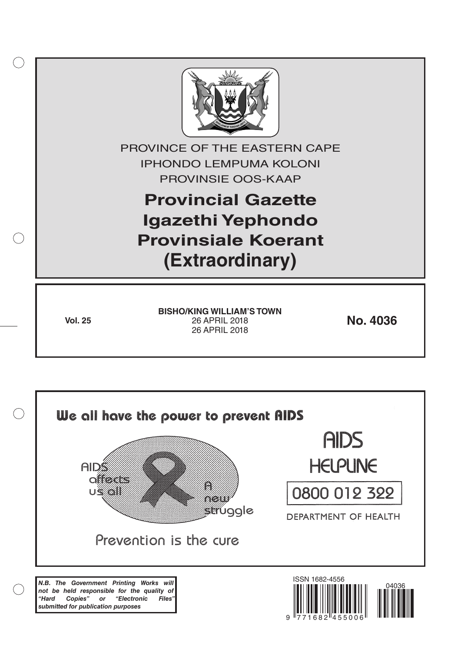

We all have the power to prevent AIDS **AIDS HELPLINE AIDS offects** A 0800 012 322 **US 81** new strüggle DEPARTMENT OF HEALTH Prevention is the cure ISSN 1682-4556 *N.B. The Government Printing Works will*  04036 *not be held responsible for the quality of "Hard Copies" or "Electronic Files" submitted for publication purposes*

9 <sup>11</sup>771682 <sup>11</sup>455006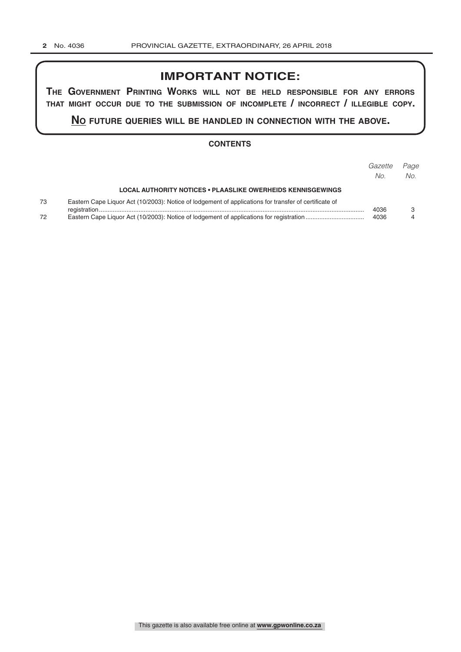## **IMPORTANT NOTICE:**

**The GovernmenT PrinTinG Works Will noT be held resPonsible for any errors ThaT miGhT occur due To The submission of incomPleTe / incorrecT / illeGible coPy.**

**no fuTure queries Will be handled in connecTion WiTh The above.**

## **CONTENTS**

|    |                                                                                                       | Gazette<br>No. | Page<br>No. |
|----|-------------------------------------------------------------------------------------------------------|----------------|-------------|
|    | <b>LOCAL AUTHORITY NOTICES • PLAASLIKE OWERHEIDS KENNISGEWINGS</b>                                    |                |             |
| 73 | Eastern Cape Liquor Act (10/2003): Notice of lodgement of applications for transfer of certificate of | 4036           |             |
| 72 |                                                                                                       |                |             |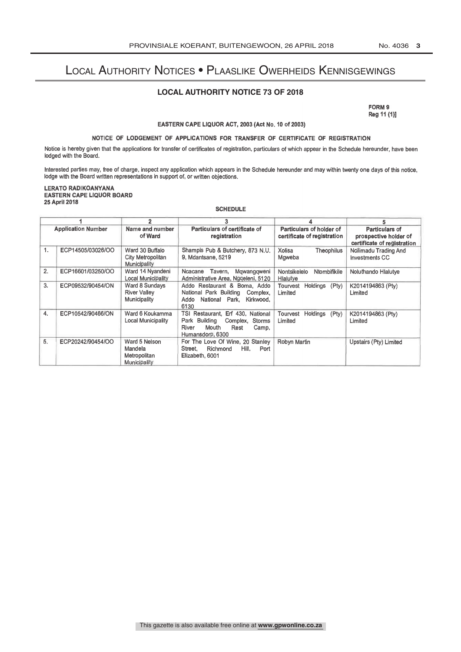# Local Authority Notices • Plaaslike Owerheids Kennisgewings

### **LOCAL AUTHORITY NOTICE 73 OF 2018**

FORM 9 Reg 11(1)]

#### EASTERN CAPE LIQUOR ACT, 2003 (Act No. 10 of 2003)

### NOTICE OF LODGEMENT OF APPLICATIONS FOR TRANSFER OF CERTIFICATE OF REGISTRATION

Notice is hereby given that the applications for transfer of certificates of registration, particulars of which appear in the Schedule hereunder, have been lodged with the Board.

Interested parties may, free of charge, inspect any application which appears in the Schedule hereunder and may within twenty one days of this notice, lodge with the Board written representations in support of, or written objections.

LERATO RADIKOANYANA EASTERN CAPE LIQUOR BOARD 25 April 2018

**SCHEDULE** 

| <b>Application Number</b> |                   | 2                                                        | 3                                                                                                                                      | 4                                                       | 5                                                                             |
|---------------------------|-------------------|----------------------------------------------------------|----------------------------------------------------------------------------------------------------------------------------------------|---------------------------------------------------------|-------------------------------------------------------------------------------|
|                           |                   | Name and number<br>of Ward                               | Particulars of certificate of<br>registration                                                                                          | Particulars of holder of<br>certificate of registration | <b>Particulars of</b><br>prospective holder of<br>certificate of registration |
|                           | ECP14505/03026/OO | Ward 30 Buffalo<br>City Metropolitan<br>Municipality     | Shampis Pub & Butchery, 873 N.U.<br>9, Mdantsane, 5219                                                                                 | Xolisa<br><b>Theophilus</b><br>Mqweba                   | Ncilimadu Trading And<br>Investments CC                                       |
| 2.                        | ECP16601/03250/OO | Ward 14 Nyandeni<br><b>Local Municipality</b>            | Mqwangqweni<br>Tavern,<br>Ncacane<br>Administrative Area, Ngqeleni, 5120                                                               | Nontsikelelo<br>Ntombifikile<br>Hlalutye                | Noluthando Hlalutye                                                           |
| 3.                        | ECP09532/90454/ON | Ward 8 Sundays<br><b>River Valley</b><br>Municipality    | Addo Restaurant & Boma, Addo<br>National Park Building<br>Complex,<br>National Park.<br>Addo<br>Kirkwood.<br>6130                      | Holdings (Pty)<br>Tourvest<br>Limited                   | K2014194863 (Pty)<br>Limited                                                  |
| 4.                        | ECP10542/90466/ON | Ward 6 Koukamma<br>Local Municipality                    | TSI Restaurant, Erf 430, National<br>Park Building<br>Complex,<br><b>Storms</b><br>Mouth<br>River<br>Rest<br>Camp,<br>Humansdorp, 6300 | Holdings (Pty)<br>Tourvest<br>Limited                   | K2014194863 (Pty)<br>Limited                                                  |
| 5.                        | ECP20242/90454/OO | Ward 5 Nelson<br>Mandela<br>Metropolitan<br>Municipality | For The Love Of Wine, 20 Stanley<br>Hill.<br>Street.<br>Richmond<br>Port<br>Elizabeth, 6001                                            | Robyn Martin                                            | Upstairs (Pty) Limited                                                        |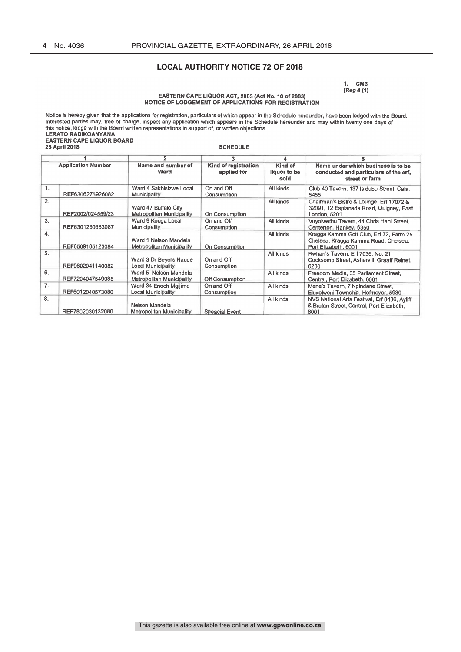## **LOCAL AUTHORITY NOTICE 72 OF 2018**

1. CM3 [Reg 4 (1)

#### EASTERN CAPE LIQUOR ACT, 2003 (Act No. 10 of 2003) NOTICE OF LODGEMENT OF APPLICATIONS FOR REGISTRATION

Notice is hereby given that the applications for registration, particulars of which appear in the Schedule hereunder, have been lodged with the Board. Interested parties may, free of charge, inspect any application which appears in the Schedule hereunder and may within twenty one days of<br>this notice, lodge with the Board written representations in support of, or written EASTERN CAPE LIQUOR BOARD 25 April 2018

**SCHEDULE** 

| <b>Application Number</b> |                   | 2                                                         | 3                                   |                                 | 5                                                                                                       |
|---------------------------|-------------------|-----------------------------------------------------------|-------------------------------------|---------------------------------|---------------------------------------------------------------------------------------------------------|
|                           |                   | Name and number of<br>Ward                                | Kind of registration<br>applied for | Kind of<br>liquor to be<br>soid | Name under which business is to be<br>conducted and particulars of the erf,<br>street or farm           |
| 1.                        | REF6306275926082  | Ward 4 Sakhisizwe Local<br>Municipality                   | On and Off<br>Consumption           | All kinds                       | Club 40 Tavem, 137 Isidubu Street, Cala.<br>5455                                                        |
| 2.                        | REF2002/024559/23 | Ward 47 Buffalo City<br><b>Metropolitan Municipality</b>  | On Consumption                      | All kinds                       | Chairman's Bistro & Lounge, Erf 17072 &<br>32091, 12 Esplanade Road, Quigney, East<br>London, 5201      |
| 3.                        | REF6301260683087  | Ward 9 Kouga Local<br>Municipality                        | On and Off<br>Consumption           | All kinds                       | Vuyolwethu Tavern, 44 Chris Hani Street,<br>Centerton, Hankey, 6350                                     |
| 4.                        | REF6509185123084  | Ward 1 Nelson Mandela<br><b>Metropolitan Municipality</b> | On Consumption                      | All kinds                       | Kragga Kamma Golf Club, Erf 72, Farm 25<br>Chelsea, Kragga Kamma Road, Chelsea,<br>Port Elizabeth, 6001 |
| 5.                        | REF9602041140082  | Ward 3 Dr Beyers Naude<br>Local Municipality              | On and Off<br>Consumption           | All kinds                       | Rwhan's Tavern, Erf 7036, No. 21<br>Cocksomb Street, Ashervill, Graaff Reinet.<br>6280                  |
| 6.                        | REF7204047549085  | Ward 5 Nelson Mandela<br>Metropolitan Municipality        | Off Consumption                     | All kinds                       | Freedom Media, 35 Parliament Street,<br>Central, Port Elizabeth, 6001                                   |
| 7.                        | REF6012040573080  | Ward 34 Enoch Mgijima<br>Local Municipality               | On and Off<br>Consumption           | All kinds                       | Mene's Tavern, 7 Ngindane Street,<br>Eluxolweni Township, Hofmeyer, 5930                                |
| 8.                        | REF7802030132080  | Nelson Mandela<br><b>Metropolitan Municipality</b>        | <b>Speacial Event</b>               | All kinds                       | NVS National Arts Festival, Erf 8486, Avliff<br>& Brutan Street, Central, Port Elizabeth.<br>6001       |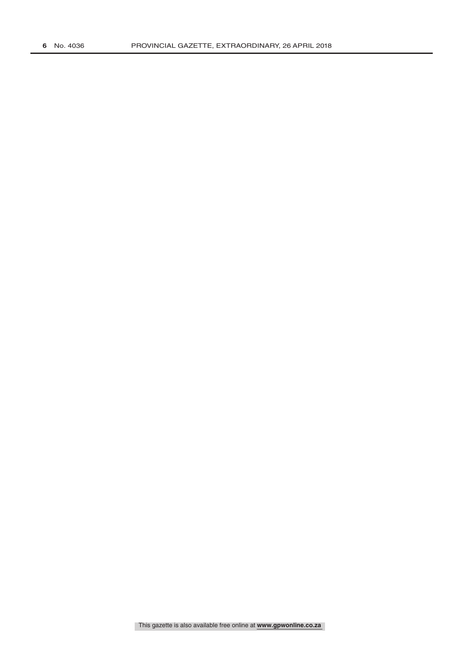This gazette is also available free online at **www.gpwonline.co.za**